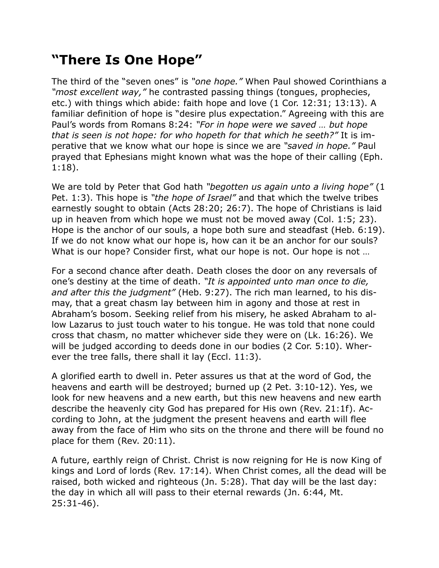## **"There Is One Hope"**

The third of the "seven ones" is *"one hope."* When Paul showed Corinthians a *"most excellent way,"* he contrasted passing things (tongues, prophecies, etc.) with things which abide: faith hope and love (1 Cor. 12:31; 13:13). A familiar definition of hope is "desire plus expectation." Agreeing with this are Paul's words from Romans 8:24: *"For in hope were we saved … but hope that is seen is not hope: for who hopeth for that which he seeth?"* It is imperative that we know what our hope is since we are *"saved in hope."* Paul prayed that Ephesians might known what was the hope of their calling (Eph. 1:18).

We are told by Peter that God hath *"begotten us again unto a living hope"* (1 Pet. 1:3). This hope is *"the hope of Israel"* and that which the twelve tribes earnestly sought to obtain (Acts 28:20; 26:7). The hope of Christians is laid up in heaven from which hope we must not be moved away (Col. 1:5; 23). Hope is the anchor of our souls, a hope both sure and steadfast (Heb. 6:19). If we do not know what our hope is, how can it be an anchor for our souls? What is our hope? Consider first, what our hope is not. Our hope is not …

For a second chance after death. Death closes the door on any reversals of one's destiny at the time of death. *"It is appointed unto man once to die, and after this the judgment"* (Heb. 9:27). The rich man learned, to his dismay, that a great chasm lay between him in agony and those at rest in Abraham's bosom. Seeking relief from his misery, he asked Abraham to allow Lazarus to just touch water to his tongue. He was told that none could cross that chasm, no matter whichever side they were on (Lk. 16:26). We will be judged according to deeds done in our bodies (2 Cor. 5:10). Wherever the tree falls, there shall it lay (Eccl. 11:3).

A glorified earth to dwell in. Peter assures us that at the word of God, the heavens and earth will be destroyed; burned up (2 Pet. 3:10-12). Yes, we look for new heavens and a new earth, but this new heavens and new earth describe the heavenly city God has prepared for His own (Rev. 21:1f). According to John, at the judgment the present heavens and earth will flee away from the face of Him who sits on the throne and there will be found no place for them (Rev. 20:11).

A future, earthly reign of Christ. Christ is now reigning for He is now King of kings and Lord of lords (Rev. 17:14). When Christ comes, all the dead will be raised, both wicked and righteous (Jn. 5:28). That day will be the last day: the day in which all will pass to their eternal rewards (Jn. 6:44, Mt. 25:31-46).